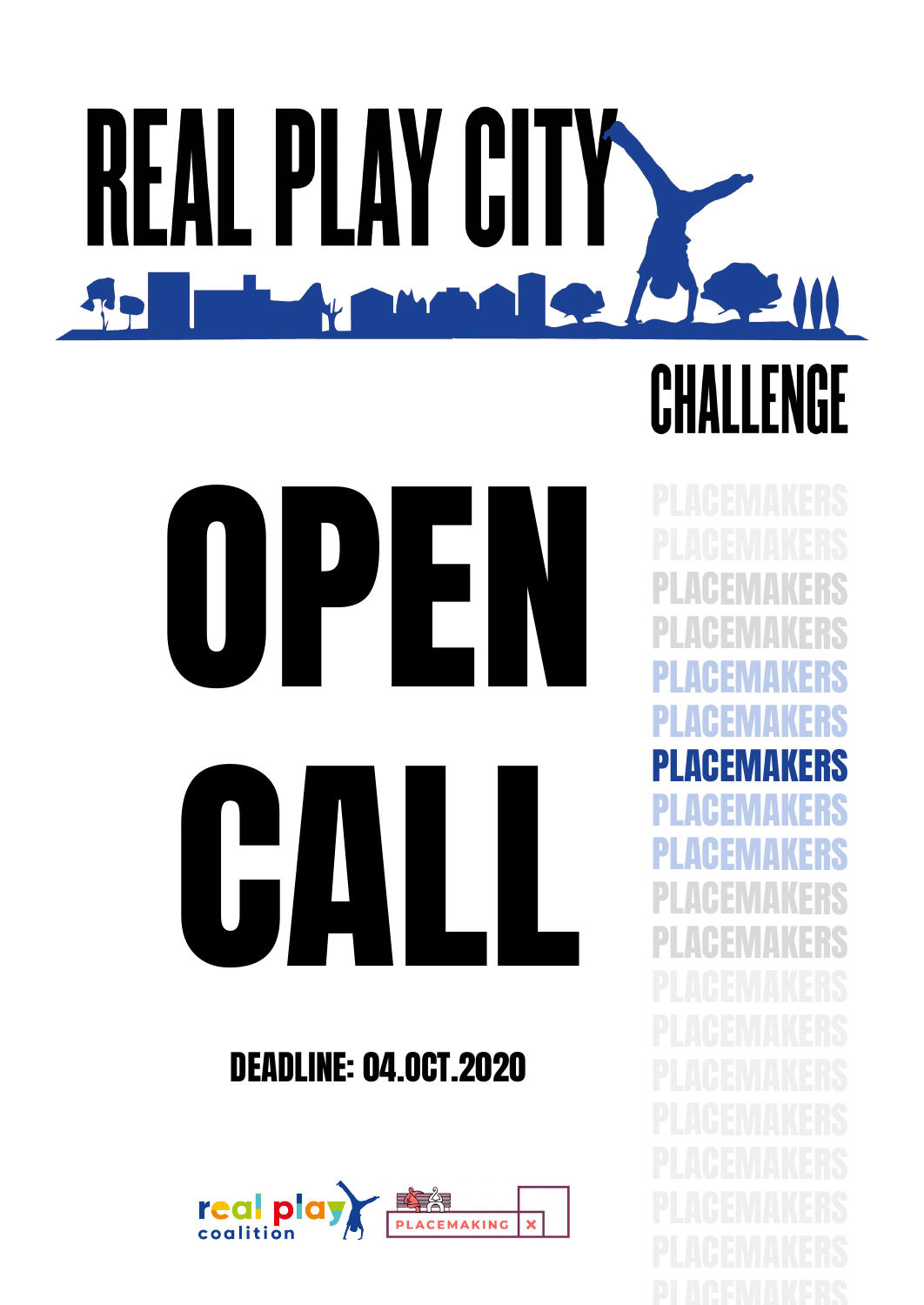# REAL PLAY CITY **BODSEM** THE I<sup>N</sup>  $\mathbf{r}$ CHALLENGE



### DEADLINE: 04.OCT.2020



PLACEMAKERS PLACEMAKERS PLACEMAKERS PLACEMAKERS PLACEMAKERS PLACEMAKERS PLACEMAKERS PLACEMAKERS PLACEMAKERS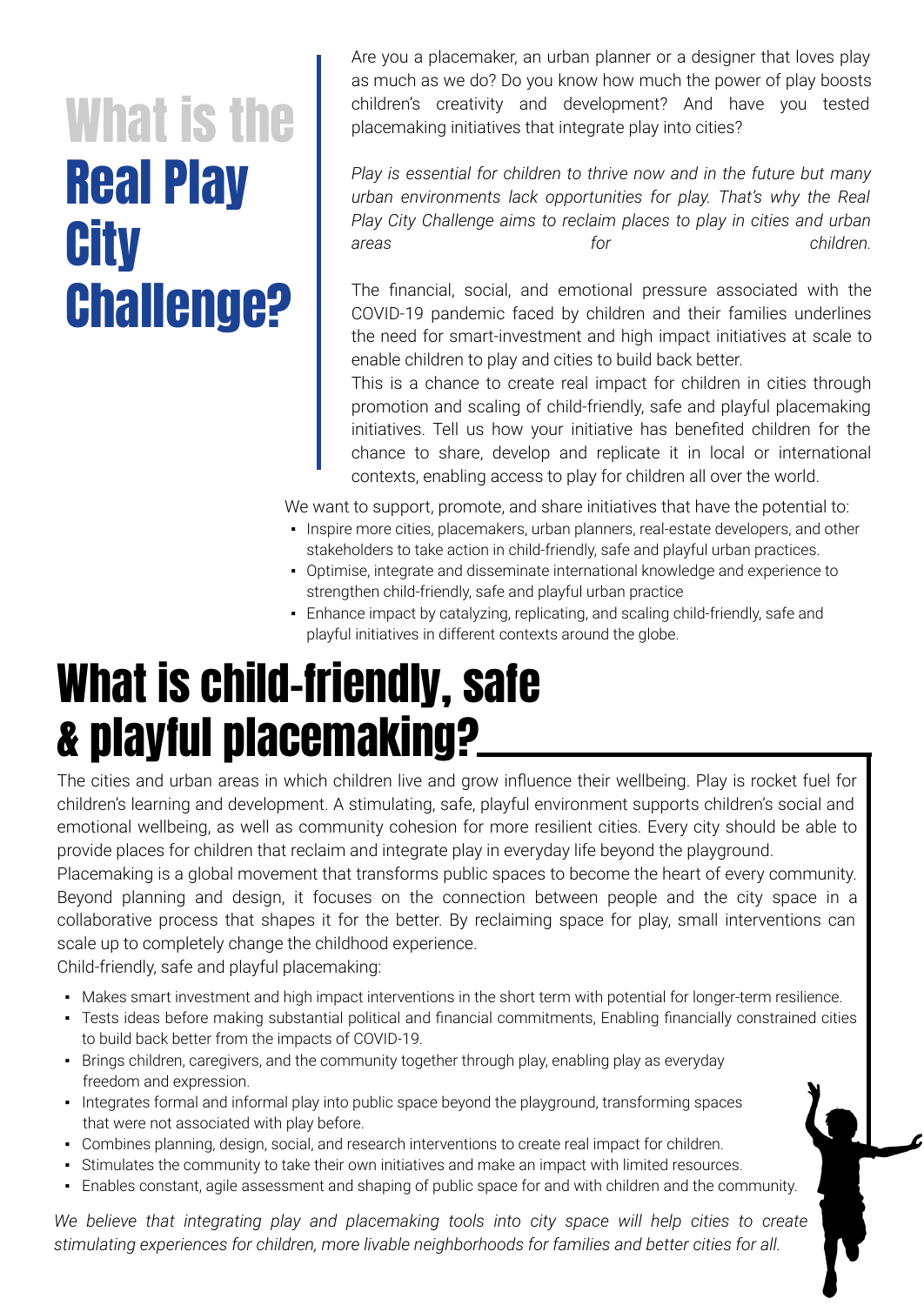# What is the Real Play **City** Challenge?

Are you a placemaker, an urban planner or a designer that loves play as much as we do? Do you know how much the power of play boosts children's creativity and development? And have you tested placemaking initiatives that integrate play into cities?

*Play is essential for children to thrive now and in the future but many urban environments lack opportunities for play. That's why the Real Play City Challenge aims to reclaim places to play in cities and urban areas for children.*

The financial, social, and emotional pressure associated with the COVID-19 pandemic faced by children and their families underlines the need for smart-investment and high impact initiatives at scale to enable children to play and cities to build back better.

This is a chance to create real impact for children in cities through promotion and scaling of child-friendly, safe and playful placemaking initiatives. Tell us how your initiative has benefited children for the chance to share, develop and replicate it in local or international contexts, enabling access to play for children all over the world.

We want to support, promote, and share initiatives that have the potential to:

- Inspire more cities, placemakers, urban planners, real-estate developers, and other stakeholders to take action in child-friendly, safe and playful urban practices.
- Optimise, integrate and disseminate international knowledge and experience to strengthen child-friendly, safe and playful urban practice
- Enhance impact by catalyzing, replicating, and scaling child-friendly, safe and playful initiatives in different contexts around the globe.

# What is child-friendly, safe & playful placemaking?

The cities and urban areas in which children live and grow influence their wellbeing. Play is rocket fuel for children's learning and development. A stimulating, safe, playful environment supports children's social and emotional wellbeing, as well as community cohesion for more resilient cities. Every city should be able to provide places for children that reclaim and integrate play in everyday life beyond the playground.

Placemaking is a global movement that transforms public spaces to become the heart of every community. Beyond planning and design, it focuses on the connection between people and the city space in a collaborative process that shapes it for the better. By reclaiming space for play, small interventions can scale up to completely change the childhood experience.

Child-friendly, safe and playful placemaking:

- Makes smart investment and high impact interventions in the short term with potential for longer-term resilience.
- Tests ideas before making substantial political and financial commitments, Enabling financially constrained cities to build back better from the impacts of COVID-19.
- Brings children, caregivers, and the community together through play, enabling play as everyday freedom and expression.
- Integrates formal and informal play into public space beyond the playground, transforming spaces that were not associated with play before.
- Combines planning, design, social, and research interventions to create real impact for children.
- Stimulates the community to take their own initiatives and make an impact with limited resources.
- Enables constant, agile assessment and shaping of public space for and with children and the community.

We believe that integrating play and placemaking tools into city space will help cities to create *stimulating experiences for children, more livable neighborhoods for families and better cities for all.*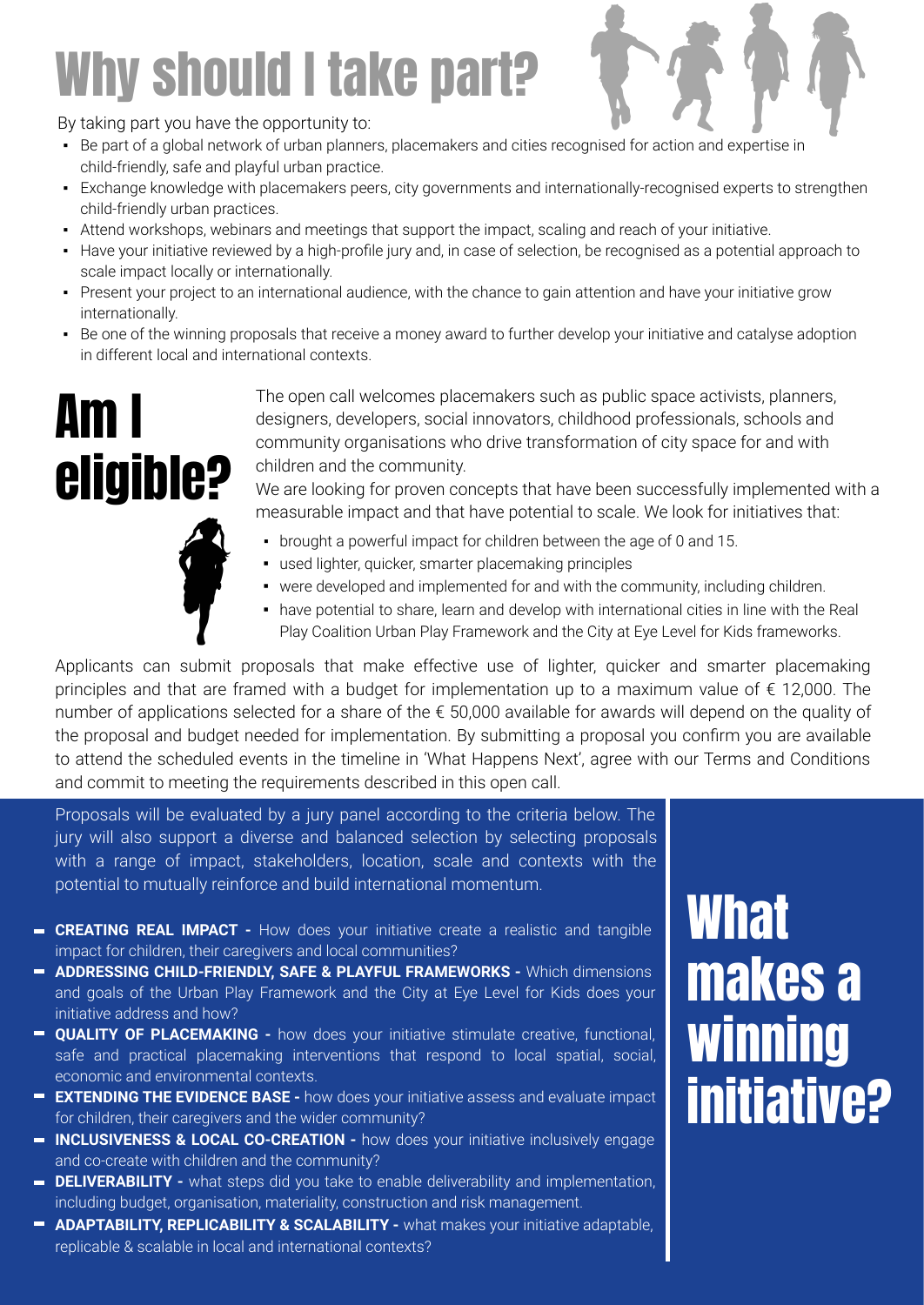# Why should I take part?



By taking part you have the opportunity to:

- Be part of a global network of urban planners, placemakers and cities recognised for action and expertise in child-friendly, safe and playful urban practice.
- Exchange knowledge with placemakers peers, city governments and internationally-recognised experts to strengthen child-friendly urban practices.
- Attend workshops, webinars and meetings that support the impact, scaling and reach of your initiative.
- Have your initiative reviewed by a high-profile jury and, in case of selection, be recognised as a potential approach to scale impact locally or internationally.
- Present your project to an international audience, with the chance to gain attention and have your initiative grow internationally.
- Be one of the winning proposals that receive a money award to further develop your initiative and catalyse adoption in different local and international contexts.

# Am I eligible?

The open call welcomes placemakers such as public space activists, planners, designers, developers, social innovators, childhood professionals, schools and community organisations who drive transformation of city space for and with children and the community.

We are looking for proven concepts that have been successfully implemented with a measurable impact and that have potential to scale. We look for initiatives that:

- brought a powerful impact for children between the age of 0 and 15. ▪ used lighter, quicker, smarter placemaking principles
	- were developed and implemented for and with the community, including children.
	- have potential to share, learn and develop with international cities in line with the Real Play Coalition Urban Play Framework and the City at Eye Level for Kids frameworks.

Applicants can submit proposals that make effective use of lighter, quicker and smarter placemaking principles and that are framed with a budget for implementation up to a maximum value of € 12,000. The number of applications selected for a share of the € 50,000 available for awards will depend on the quality of the proposal and budget needed for implementation. By submitting a proposal you confirm you are available to attend the scheduled events in the timeline in 'What Happens Next', agree with our Terms and Conditions and commit to meeting the requirements described in this open call.

Proposals will be evaluated by a jury panel according to the criteria below. The jury will also support a diverse and balanced selection by selecting proposals with a range of impact, stakeholders, location, scale and contexts with the potential to mutually reinforce and build international momentum.

- **CREATING REAL IMPACT -** How does your initiative create a realistic and tangible impact for children, their caregivers and local communities?
- **ADDRESSING CHILD-FRIENDLY, SAFE & PLAYFUL FRAMEWORKS Which dimensions** and goals of the Urban Play Framework and the City at Eye Level for Kids does your initiative address and how?
- **QUALITY OF PLACEMAKING -** how does your initiative stimulate creative, functional, safe and practical placemaking interventions that respond to local spatial, social, economic and environmental contexts.
- **EXTENDING THE EVIDENCE BASE** how does your initiative assess and evaluate impact for children, their caregivers and the wider community?
- **INCLUSIVENESS & LOCAL CO-CREATION -** how does your initiative inclusively engage and co-create with children and the community?
- **DELIVERABILITY -** what steps did you take to enable deliverability and implementation, including budget, organisation, materiality, construction and risk management.
- **ADAPTABILITY, REPLICABILITY & SCALABILITY -** what makes your initiative adaptable, replicable & scalable in local and international contexts?

# **What** makes a winning initiative?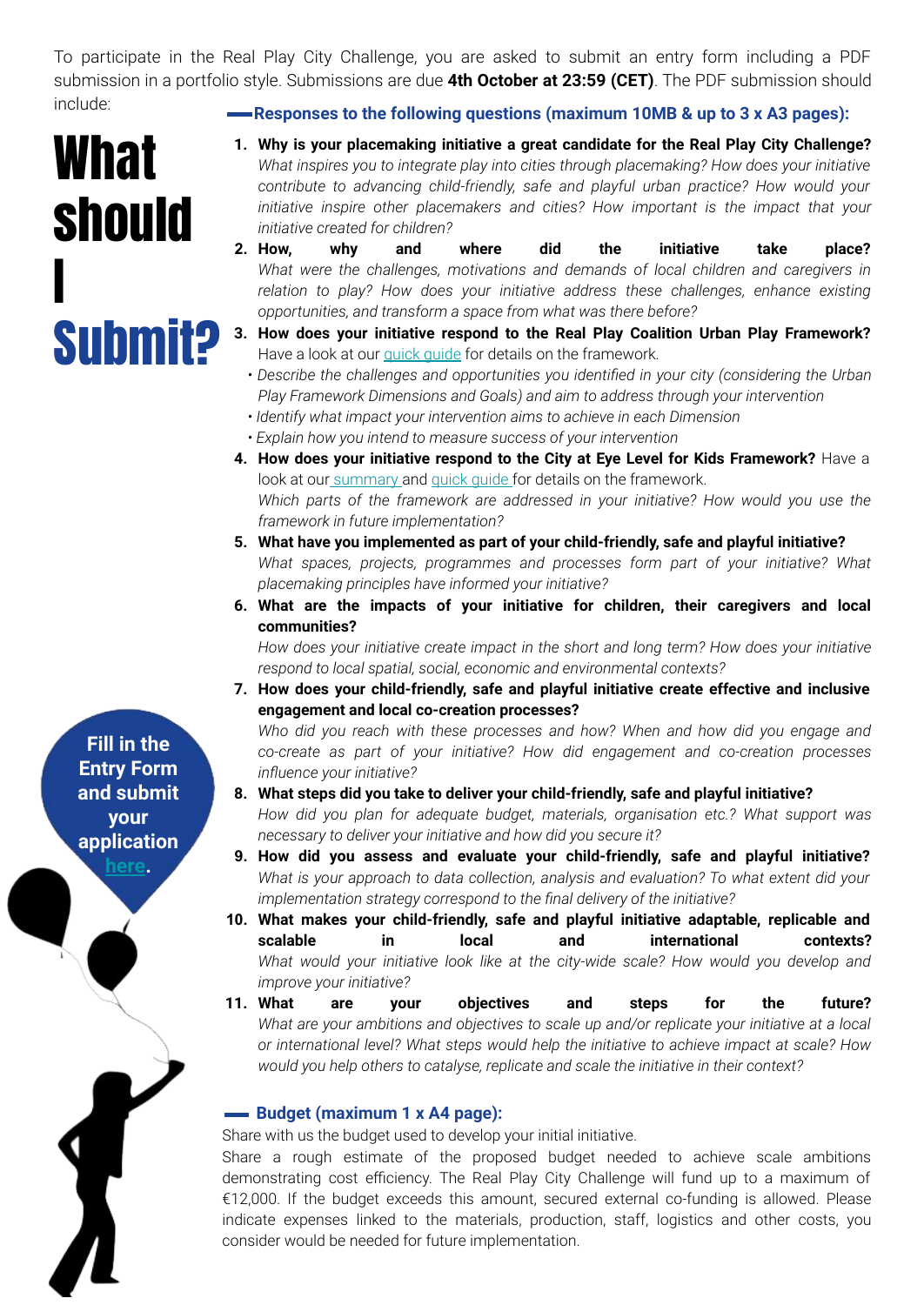To participate in the Real Play City Challenge, you are asked to submit an entry form including a PDF submission in a portfolio style. Submissions are due **4th October at 23:59 (CET)**. The PDF submission should include:

# **What** should I **Subm**

**Responses to the following questions (maximum 10MB & up to 3 x A3 pages):** 

- **1. Why is your placemaking initiative a great candidate for the Real Play City Challenge?**  *What inspires you to integrate play into cities through placemaking? How does your initiative contribute to advancing child-friendly, safe and playful urban practice? How would your initiative inspire other placemakers and cities? How important is the impact that your initiative created for children?*
- **2. How, why and where did the initiative take place?** *What were the challenges, motivations and demands of local children and caregivers in relation to play? How does your initiative address these challenges, enhance existing opportunities, and transform a space from what was there before?*
- **3. How does your initiative respond to the Real Play Coalition Urban Play Framework?**  Have a look at our quick quide for details on the framework.
	- *Describe the challenges and opportunities you identified in your city (considering the Urban Play Framework Dimensions and Goals) and aim to address through your intervention*
- *Identify what impact your intervention aims to achieve in each Dimension*
- *Explain how you intend to measure success of your intervention*
- **4. How does your initiative respond to the City at Eye Level for Kids Framework?** Have a look at our [summary](https://3102b1bd-8812-4299-ab64-5b4a4ecb4a53.usrfiles.com/ugd/3102b1_42c44bc1eeaf4508b307116bcebbc610.pdf) and quick quide for details on the framework. *Which parts of the framework are addressed in your initiative? How would you use the framework in future implementation?*
- **5. What have you implemented as part of your child-friendly, safe and playful initiative?** *What spaces, projects, programmes and processes form part of your initiative? What placemaking principles have informed your initiative?*
- **6. What are the impacts of your initiative for children, their caregivers and local communities?**

*How does your initiative create impact in the short and long term? How does your initiative respond to local spatial, social, economic and environmental contexts?*

**7. How does your child-friendly, safe and playful initiative create effective and inclusive engagement and local co-creation processes?** 

*Who did you reach with these processes and how? When and how did you engage and co-create as part of your initiative? How did engagement and co-creation processes influence your initiative?*

- **8. What steps did you take to deliver your child-friendly, safe and playful initiative?**  *How did you plan for adequate budget, materials, organisation etc.? What support was necessary to deliver your initiative and how did you secure it?*
- **9. How did you assess and evaluate your child-friendly, safe and playful initiative?**  *What is your approach to data collection, analysis and evaluation? To what extent did your implementation strategy correspond to the final delivery of the initiative?*
- **10. What makes your child-friendly, safe and playful initiative adaptable, replicable and scalable in local and international contexts?**  What would your initiative look like at the city-wide scale? How would you develop and *improve your initiative?*
- **11. What are your objectives and steps for the future?** *What are your ambitions and objectives to scale up and/or replicate your initiative at a local or international level? What steps would help the initiative to achieve impact at scale? How would you help others to catalyse, replicate and scale the initiative in their context?*

#### **Budget (maximum 1 x A4 page):**

Share with us the budget used to develop your initial initiative.

Share a rough estimate of the proposed budget needed to achieve scale ambitions demonstrating cost efficiency. The Real Play City Challenge will fund up to a maximum of €12,000. If the budget exceeds this amount, secured external co-funding is allowed. Please indicate expenses linked to the materials, production, staff, logistics and other costs, you consider would be needed for future implementation.

**Fill in the Entry Form and submit your application** 

**[here.](https://docs.google.com/forms/d/e/1FAIpQLSe8PF2WTu-g8FT3JofgDATfwCMqSUnhzsQNzH_NOQv6pYjT0g/viewform)**

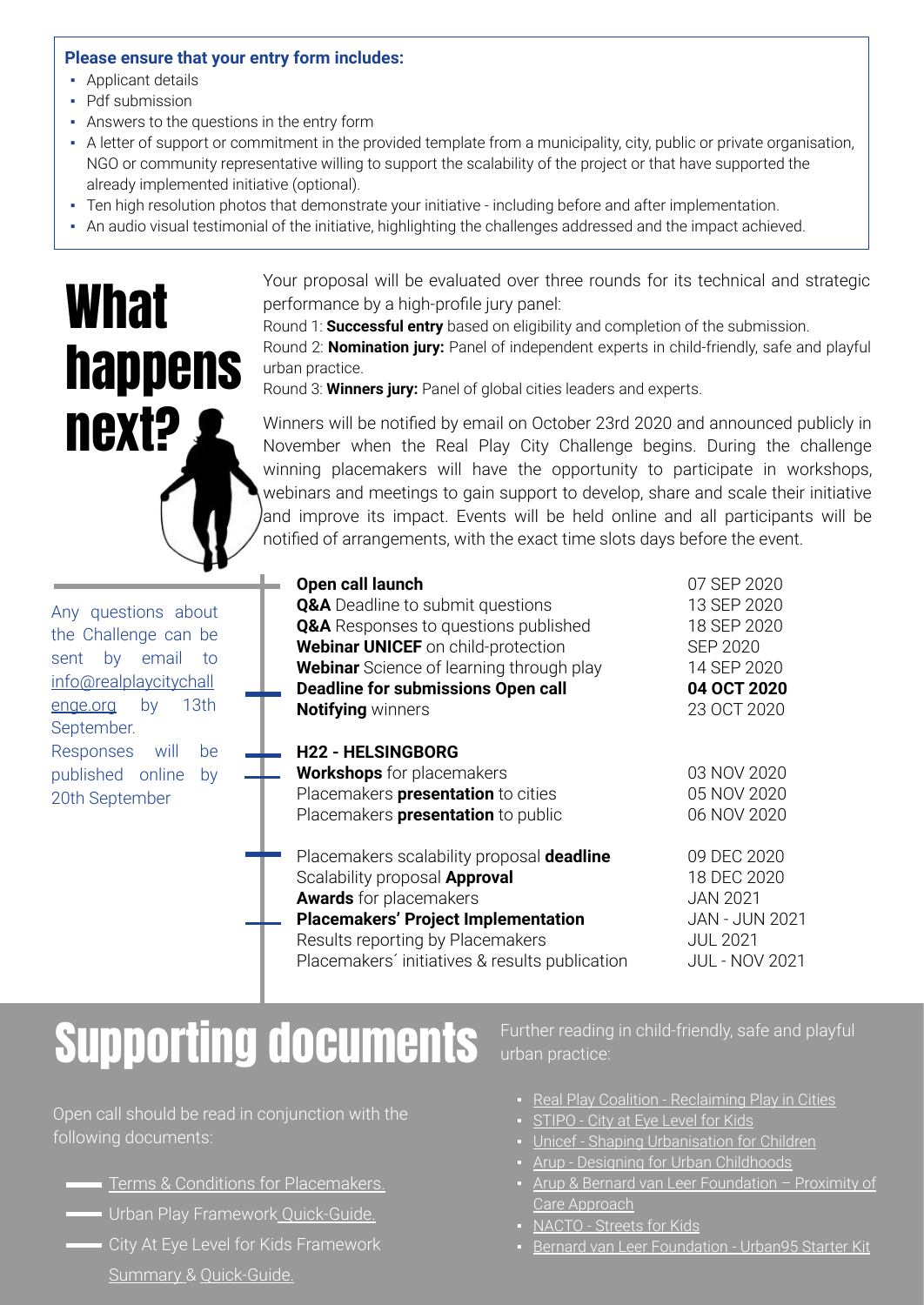#### **Please ensure that your entry form includes:**

- Applicant details
- Pdf submission
- Answers to the questions in the entry form
- A letter of support or commitment in the provided template from a municipality, city, public or private organisation, NGO or community representative willing to support the scalability of the project or that have supported the already implemented initiative (optional).
- Ten high resolution photos that demonstrate your initiative including before and after implementation.
- An audio visual testimonial of the initiative, highlighting the challenges addressed and the impact achieved.



Your proposal will be evaluated over three rounds for its technical and strategic performance by a high-profile jury panel:

Round 1: **Successful entry** based on eligibility and completion of the submission. Round 2: **Nomination jury:** Panel of independent experts in child-friendly, safe and playful urban practice.

Round 3: **Winners jury:** Panel of global cities leaders and experts.

**Next?** Winners will be notified by email on October 23rd 2020 and announced publicly in New York Challenge Ages Play, City, Challenge begins. During the challenge November when the Real Play City Challenge begins. During the challenge winning placemakers will have the opportunity to participate in workshops, webinars and meetings to gain support to develop, share and scale their initiative and improve its impact. Events will be held online and all participants will be notified of arrangements, with the exact time slots days before the event.

| Any questions about    |         |  |    |  |
|------------------------|---------|--|----|--|
| the Challenge can be   |         |  |    |  |
| sent by email to       |         |  |    |  |
| info@realplaycitychall |         |  |    |  |
| enge.org               | by 13th |  |    |  |
| September.             |         |  |    |  |
| Responses will         |         |  | he |  |
| published online       |         |  | by |  |
| 20th September         |         |  |    |  |

| Open call launch<br><b>Q&amp;A</b> Deadline to submit questions<br><b>Q&amp;A</b> Responses to questions published<br><b>Webinar UNICEF</b> on child-protection<br><b>Webinar</b> Science of learning through play<br><b>Deadline for submissions Open call</b><br><b>Notifying winners</b> | 07 SEP 2020<br>13 SEP 2020<br>18 SEP 2020<br><b>SEP 2020</b><br>14 SEP 2020<br>04 OCT 2020<br>23 OCT 2020          |
|---------------------------------------------------------------------------------------------------------------------------------------------------------------------------------------------------------------------------------------------------------------------------------------------|--------------------------------------------------------------------------------------------------------------------|
| <b>H22 - HELSINGBORG</b><br><b>Workshops</b> for placemakers<br>Placemakers <b>presentation</b> to cities<br>Placemakers <b>presentation</b> to public                                                                                                                                      | 03 NOV 2020<br>05 NOV 2020<br>06 NOV 2020                                                                          |
| Placemakers scalability proposal deadline<br>Scalability proposal Approval<br><b>Awards</b> for placemakers<br><b>Placemakers' Project Implementation</b><br>Results reporting by Placemakers                                                                                               | 09 DEC 2020<br>18 DEC 2020<br><b>JAN 2021</b><br><b>JAN - JUN 2021</b><br><b>JUL 2021</b><br><b>JUL - NOV 2021</b> |
|                                                                                                                                                                                                                                                                                             | Placemakers' initiatives & results publication                                                                     |

# Supporting documents

Open call should be read in conjunction with the following documents:

- [Terms & Conditions for Placemakers.](https://3102b1bd-8812-4299-ab64-5b4a4ecb4a53.usrfiles.com/ugd/3102b1_4548cd63109e4208a06b213925f14a11.pdf)
- Urban Play Framewor[k Quick-Guide.](https://3102b1bd-8812-4299-ab64-5b4a4ecb4a53.usrfiles.com/ugd/3102b1_444eaab1ed9b42f5b24f185c094ecf80.pdf)
- City At Eye Level for Kids Framework [Summary &](https://3102b1bd-8812-4299-ab64-5b4a4ecb4a53.usrfiles.com/ugd/3102b1_42c44bc1eeaf4508b307116bcebbc610.pdf) [Quick-Guide.](https://3102b1bd-8812-4299-ab64-5b4a4ecb4a53.usrfiles.com/ugd/3102b1_e4ec37efa82e41f18f26a3e2a3fd6dfe.pdf)

Further reading in child-friendly, safe and playful urban practice:

- **[Real Play Coalition Reclaiming Play in Cities](https://3102b1bd-8812-4299-ab64-5b4a4ecb4a53.usrfiles.com/ugd/3102b1_7d5cb4b9dfe046c79c36b07b3330efa1.pdf)**
- [STIPO City at Eye Level for Kids](https://3102b1bd-8812-4299-ab64-5b4a4ecb4a53.usrfiles.com/ugd/3102b1_0ee8dd8922a245aca2ad3803a5ce4f30.pdf)
- **[Unicef Shaping Urbanisation for Children](https://3102b1bd-8812-4299-ab64-5b4a4ecb4a53.usrfiles.com/ugd/3102b1_2356c50cb26d4175abac5e0d1392dddb.pdf)**
- [Arup Designing for Urban Childhoods](https://3102b1bd-8812-4299-ab64-5b4a4ecb4a53.usrfiles.com/ugd/3102b1_b4d8fd9dbc3844d2b9fa8d84b21979c1.pdf)
- Arup & Bernard van Leer Foundation Proximity of [Care Approach](https://3102b1bd-8812-4299-ab64-5b4a4ecb4a53.usrfiles.com/ugd/3102b1_148d284f517a4606af917623f44c2b01.pdf)
- [NACTO Streets for Kids](https://3102b1bd-8812-4299-ab64-5b4a4ecb4a53.usrfiles.com/ugd/3102b1_90fad196786043e08361ac64cf4cdaae.pdf)
- [Bernard van Leer Foundation Urban95 Starter Kit](https://3102b1bd-8812-4299-ab64-5b4a4ecb4a53.usrfiles.com/ugd/3102b1_a94fb10087d14ff0838bbfc27d2c351e.pdf)